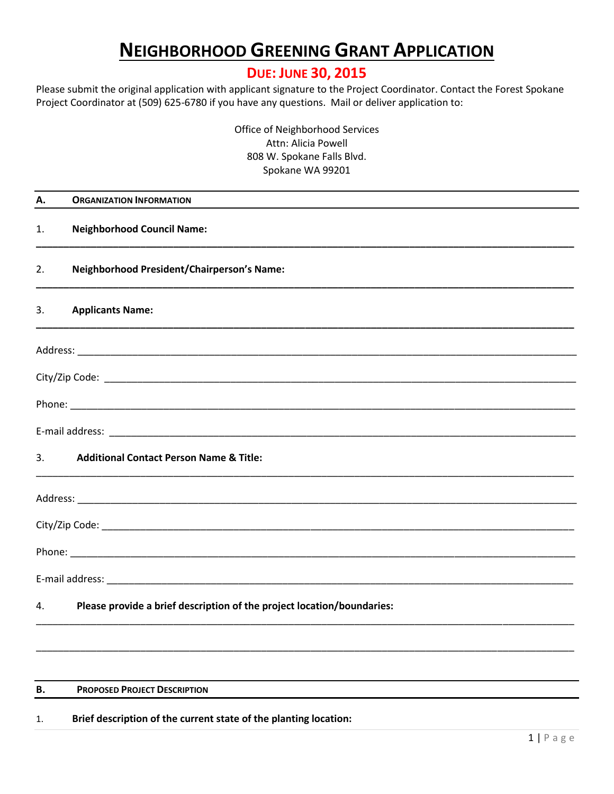# **NEIGHBORHOOD GREENING GRANT APPLICATION**

## **DUE: JUNE 30, 2015**

Please submit the original application with applicant signature to the Project Coordinator. Contact the Forest Spokane Project Coordinator at (509) 625-6780 if you have any questions. Mail or deliver application to:

> Office of Neighborhood Services Attn: Alicia Powell 808 W. Spokane Falls Blvd. Spokane WA 99201

| А. | <b>ORGANIZATION INFORMATION</b>                                        |
|----|------------------------------------------------------------------------|
| 1. | <b>Neighborhood Council Name:</b>                                      |
| 2. | <b>Neighborhood President/Chairperson's Name:</b>                      |
| 3. | <b>Applicants Name:</b>                                                |
|    |                                                                        |
|    |                                                                        |
|    |                                                                        |
|    |                                                                        |
| 3. | <b>Additional Contact Person Name &amp; Title:</b>                     |
|    |                                                                        |
|    |                                                                        |
|    |                                                                        |
|    |                                                                        |
| 4. | Please provide a brief description of the project location/boundaries: |
|    |                                                                        |
|    |                                                                        |

#### **B. PROPOSED PROJECT DESCRIPTION**

#### 1. **Brief description of the current state of the planting location:**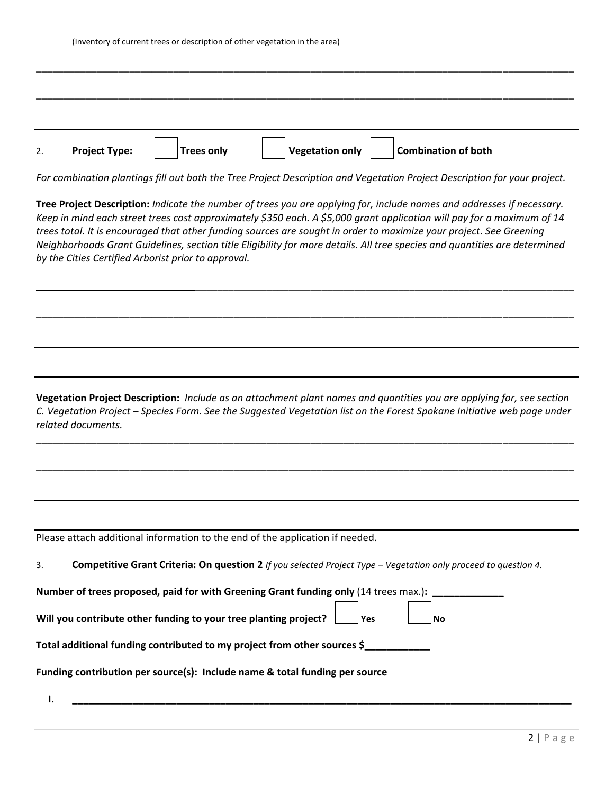| 2. | <b>Project Type:</b> | <b>Trees only</b> | <b>Vegetation only</b> | <b>Combination of both</b> |  |
|----|----------------------|-------------------|------------------------|----------------------------|--|

*For combination plantings fill out both the Tree Project Description and Vegetation Project Description for your project.*

**Tree Project Description:** *Indicate the number of trees you are applying for, include names and addresses if necessary. Keep in mind each street trees cost approximately \$350 each. A \$5,000 grant application will pay for a maximum of 14 trees total. It is encouraged that other funding sources are sought in order to maximize your project. See Greening Neighborhoods Grant Guidelines, section title Eligibility for more details. All tree species and quantities are determined by the Cities Certified Arborist prior to approval.*

\_\_\_\_\_\_\_\_\_\_\_\_\_\_\_\_\_\_\_\_\_\_\_\_\_\_\_\_\_\_\_\_\_\_\_\_\_\_\_\_\_\_\_\_\_\_\_\_\_\_\_\_\_\_\_\_\_\_\_\_\_\_\_\_\_\_\_\_\_\_\_\_\_\_\_\_\_\_\_\_\_\_\_\_\_\_\_\_\_\_\_\_\_\_\_\_\_\_

\_\_\_\_\_\_\_\_\_\_\_\_\_\_\_\_\_\_\_\_\_\_\_\_\_\_\_\_\_\_\_\_\_\_\_\_\_\_\_\_\_\_\_\_\_\_\_\_\_\_\_\_\_\_\_\_\_\_\_\_\_\_\_\_\_\_\_\_\_\_\_\_\_\_\_\_\_\_\_\_\_\_\_\_\_\_\_\_\_\_\_\_\_\_\_\_\_\_

**Vegetation Project Description:** *Include as an attachment plant names and quantities you are applying for, see section C. Vegetation Project – Species Form. See the Suggested Vegetation list on the Forest Spokane Initiative web page under related documents.*

\_\_\_\_\_\_\_\_\_\_\_\_\_\_\_\_\_\_\_\_\_\_\_\_\_\_\_\_\_\_\_\_\_\_\_\_\_\_\_\_\_\_\_\_\_\_\_\_\_\_\_\_\_\_\_\_\_\_\_\_\_\_\_\_\_\_\_\_\_\_\_\_\_\_\_\_\_\_\_\_\_\_\_\_\_\_\_\_\_\_\_\_\_\_\_\_\_\_

\_\_\_\_\_\_\_\_\_\_\_\_\_\_\_\_\_\_\_\_\_\_\_\_\_\_\_\_\_\_\_\_\_\_\_\_\_\_\_\_\_\_\_\_\_\_\_\_\_\_\_\_\_\_\_\_\_\_\_\_\_\_\_\_\_\_\_\_\_\_\_\_\_\_\_\_\_\_\_\_\_\_\_\_\_\_\_\_\_\_\_\_\_\_\_\_\_\_

| Please attach additional information to the end of the application if needed. |  |
|-------------------------------------------------------------------------------|--|
|-------------------------------------------------------------------------------|--|

| . ب | <b>Competitive Grant Criteria: On question 2</b> If you selected Project Type – Vegetation only proceed to question 4. |  |  |  |  |  |
|-----|------------------------------------------------------------------------------------------------------------------------|--|--|--|--|--|
|-----|------------------------------------------------------------------------------------------------------------------------|--|--|--|--|--|

 $\overline{ }$ ┑  $\Gamma$ ٦

**Number of trees proposed, paid for with Greening Grant funding only (14 trees max.):** 

| Will you contribute other funding to your tree planting project? | Yes | <b>Nc</b> |
|------------------------------------------------------------------|-----|-----------|
|                                                                  |     |           |

**Total additional funding contributed to my project from other sources \$\_\_\_\_\_\_\_\_\_\_\_\_**

**Funding contribution per source(s): Include name & total funding per source**

**I. \_\_\_\_\_\_\_\_\_\_\_\_\_\_\_\_\_\_\_\_\_\_\_\_\_\_\_\_\_\_\_\_\_\_\_\_\_\_\_\_\_\_\_\_\_\_\_\_\_\_\_\_\_\_\_\_\_\_\_\_\_\_\_\_\_\_\_\_\_\_\_\_\_\_\_\_\_\_\_\_\_\_\_\_\_\_\_\_\_\_\_**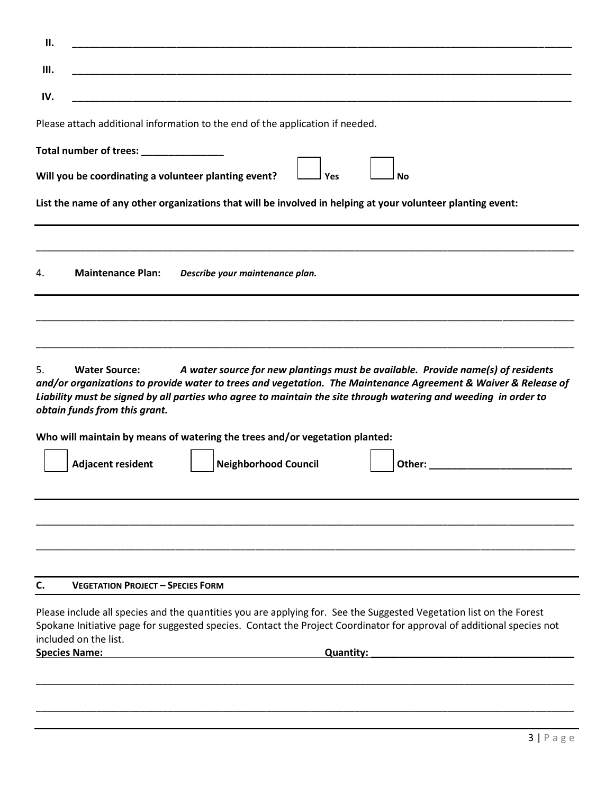| Ш.                                                          |                                                                                                                                                                                                                                                                                                                       |
|-------------------------------------------------------------|-----------------------------------------------------------------------------------------------------------------------------------------------------------------------------------------------------------------------------------------------------------------------------------------------------------------------|
| IV.                                                         |                                                                                                                                                                                                                                                                                                                       |
|                                                             | Please attach additional information to the end of the application if needed.                                                                                                                                                                                                                                         |
| Total number of trees: ________________                     |                                                                                                                                                                                                                                                                                                                       |
| Will you be coordinating a volunteer planting event?        | Yes<br>No                                                                                                                                                                                                                                                                                                             |
|                                                             | List the name of any other organizations that will be involved in helping at your volunteer planting event:                                                                                                                                                                                                           |
| <b>Maintenance Plan:</b><br>4.                              | Describe your maintenance plan.                                                                                                                                                                                                                                                                                       |
| 5.<br><b>Water Source:</b><br>obtain funds from this grant. | A water source for new plantings must be available. Provide name(s) of residents<br>and/or organizations to provide water to trees and vegetation. The Maintenance Agreement & Waiver & Release of<br>Liability must be signed by all parties who agree to maintain the site through watering and weeding in order to |
|                                                             | Who will maintain by means of watering the trees and/or vegetation planted:                                                                                                                                                                                                                                           |
| <b>Adjacent resident</b>                                    | <b>Neighborhood Council</b><br>Other:                                                                                                                                                                                                                                                                                 |
|                                                             |                                                                                                                                                                                                                                                                                                                       |
|                                                             |                                                                                                                                                                                                                                                                                                                       |
| <b>VEGETATION PROJECT - SPECIES FORM</b>                    |                                                                                                                                                                                                                                                                                                                       |
|                                                             | Please include all species and the quantities you are applying for. See the Suggested Vegetation list on the Forest<br>Spokane Initiative page for suggested species. Contact the Project Coordinator for approval of additional species not                                                                          |
| C.<br>included on the list.<br><b>Species Name:</b>         | <b>Quantity:</b>                                                                                                                                                                                                                                                                                                      |
|                                                             |                                                                                                                                                                                                                                                                                                                       |